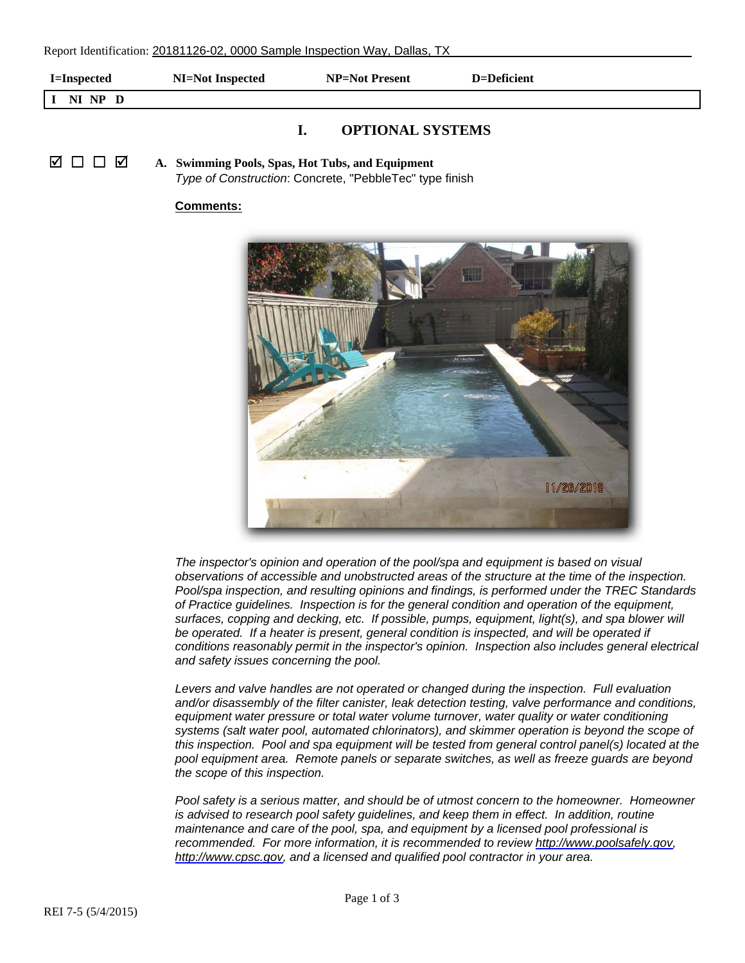| <b>I=Inspected</b>      | NI=Not Inspected |  | NP=Not Present | D=Deficient |  |
|-------------------------|------------------|--|----------------|-------------|--|
| NI NP D                 |                  |  |                |             |  |
| <b>ODTIONAL CVETEME</b> |                  |  |                |             |  |

## **I. OPTIONAL SYSTEMS**

Ø □ □ Ø **A. Swimming Pools, Spas, Hot Tubs, and Equipment** *Type of Construction*: Concrete, "PebbleTec" type finish

## **Comments:**



*The inspector's opinion and operation of the pool/spa and equipment is based on visual observations of accessible and unobstructed areas of the structure at the time of the inspection. Pool/spa inspection, and resulting opinions and findings, is performed under the TREC Standards of Practice guidelines. Inspection is for the general condition and operation of the equipment, surfaces, copping and decking, etc. If possible, pumps, equipment, light(s), and spa blower will*  be operated. If a heater is present, general condition is inspected, and will be operated if *conditions reasonably permit in the inspector's opinion. Inspection also includes general electrical and safety issues concerning the pool.*

Levers and valve handles are not operated or changed during the inspection. Full evaluation *and/or disassembly of the filter canister, leak detection testing, valve performance and conditions,*  equipment water pressure or total water volume turnover, water quality or water conditioning *systems (salt water pool, automated chlorinators), and skimmer operation is beyond the scope of this inspection. Pool and spa equipment will be tested from general control panel(s) located at the pool equipment area. Remote panels or separate switches, as well as freeze guards are beyond the scope of this inspection.*

*Pool safety is a serious matter, and should be of utmost concern to the homeowner. Homeowner is advised to research pool safety quidelines, and keep them in effect. In addition, routine maintenance and care of the pool, spa, and equipment by a licensed pool professional is [recommended. For](http://www.cpsc.gov) more information, it is recommended to review<http://www.poolsafely.gov>, [http://www.cpsc.gov,](http://www.cpsc.gov) and a licensed and qualified pool contractor in your area.*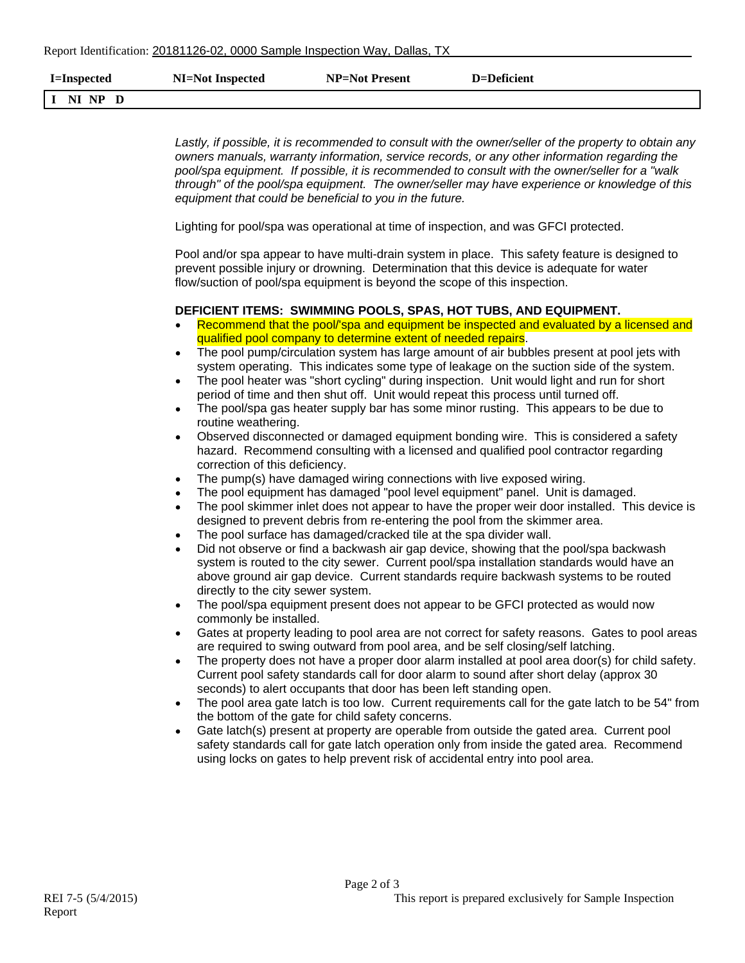| I=Inspected | NI=Not Inspected | NP=Not Present | $D = Deficient$ |
|-------------|------------------|----------------|-----------------|
| 'I NI NP D  |                  |                |                 |

|                                                                                                                                               | Lastly, if possible, it is recommended to consult with the owner/seller of the property to obtain any<br>owners manuals, warranty information, service records, or any other information regarding the<br>pool/spa equipment. If possible, it is recommended to consult with the owner/seller for a "walk<br>through" of the pool/spa equipment. The owner/seller may have experience or knowledge of this<br>equipment that could be beneficial to you in the future.                                                                                                                                                                                                                                                                                                                                                                                                                                                                                                                                                                                                                                                                                                                                                                                                                                                                                                                                                                                                                                                                                                                                                                                                                                                                                                                                                                                                                                                                                                                                                                                                                                                                                                                                                                                                                                                                                                                                                                                                                                                               |
|-----------------------------------------------------------------------------------------------------------------------------------------------|--------------------------------------------------------------------------------------------------------------------------------------------------------------------------------------------------------------------------------------------------------------------------------------------------------------------------------------------------------------------------------------------------------------------------------------------------------------------------------------------------------------------------------------------------------------------------------------------------------------------------------------------------------------------------------------------------------------------------------------------------------------------------------------------------------------------------------------------------------------------------------------------------------------------------------------------------------------------------------------------------------------------------------------------------------------------------------------------------------------------------------------------------------------------------------------------------------------------------------------------------------------------------------------------------------------------------------------------------------------------------------------------------------------------------------------------------------------------------------------------------------------------------------------------------------------------------------------------------------------------------------------------------------------------------------------------------------------------------------------------------------------------------------------------------------------------------------------------------------------------------------------------------------------------------------------------------------------------------------------------------------------------------------------------------------------------------------------------------------------------------------------------------------------------------------------------------------------------------------------------------------------------------------------------------------------------------------------------------------------------------------------------------------------------------------------------------------------------------------------------------------------------------------------|
|                                                                                                                                               | Lighting for pool/spa was operational at time of inspection, and was GFCI protected.                                                                                                                                                                                                                                                                                                                                                                                                                                                                                                                                                                                                                                                                                                                                                                                                                                                                                                                                                                                                                                                                                                                                                                                                                                                                                                                                                                                                                                                                                                                                                                                                                                                                                                                                                                                                                                                                                                                                                                                                                                                                                                                                                                                                                                                                                                                                                                                                                                                 |
|                                                                                                                                               | Pool and/or spa appear to have multi-drain system in place. This safety feature is designed to<br>prevent possible injury or drowning. Determination that this device is adequate for water<br>flow/suction of pool/spa equipment is beyond the scope of this inspection.                                                                                                                                                                                                                                                                                                                                                                                                                                                                                                                                                                                                                                                                                                                                                                                                                                                                                                                                                                                                                                                                                                                                                                                                                                                                                                                                                                                                                                                                                                                                                                                                                                                                                                                                                                                                                                                                                                                                                                                                                                                                                                                                                                                                                                                            |
|                                                                                                                                               | DEFICIENT ITEMS: SWIMMING POOLS, SPAS, HOT TUBS, AND EQUIPMENT.                                                                                                                                                                                                                                                                                                                                                                                                                                                                                                                                                                                                                                                                                                                                                                                                                                                                                                                                                                                                                                                                                                                                                                                                                                                                                                                                                                                                                                                                                                                                                                                                                                                                                                                                                                                                                                                                                                                                                                                                                                                                                                                                                                                                                                                                                                                                                                                                                                                                      |
| ٠<br>$\bullet$<br>$\bullet$<br>$\bullet$<br>$\bullet$<br>$\bullet$<br>$\bullet$<br>$\bullet$<br>$\bullet$<br>$\bullet$<br>$\bullet$<br>٠<br>٠ | Recommend that the pool/'spa and equipment be inspected and evaluated by a licensed and<br>qualified pool company to determine extent of needed repairs.<br>The pool pump/circulation system has large amount of air bubbles present at pool jets with<br>system operating. This indicates some type of leakage on the suction side of the system.<br>The pool heater was "short cycling" during inspection. Unit would light and run for short<br>period of time and then shut off. Unit would repeat this process until turned off.<br>The pool/spa gas heater supply bar has some minor rusting. This appears to be due to<br>routine weathering.<br>Observed disconnected or damaged equipment bonding wire. This is considered a safety<br>hazard. Recommend consulting with a licensed and qualified pool contractor regarding<br>correction of this deficiency.<br>The pump(s) have damaged wiring connections with live exposed wiring.<br>The pool equipment has damaged "pool level equipment" panel. Unit is damaged.<br>The pool skimmer inlet does not appear to have the proper weir door installed. This device is<br>designed to prevent debris from re-entering the pool from the skimmer area.<br>The pool surface has damaged/cracked tile at the spa divider wall.<br>Did not observe or find a backwash air gap device, showing that the pool/spa backwash<br>system is routed to the city sewer. Current pool/spa installation standards would have an<br>above ground air gap device. Current standards require backwash systems to be routed<br>directly to the city sewer system.<br>The pool/spa equipment present does not appear to be GFCI protected as would now<br>commonly be installed.<br>Gates at property leading to pool area are not correct for safety reasons. Gates to pool areas<br>are required to swing outward from pool area, and be self closing/self latching.<br>The property does not have a proper door alarm installed at pool area door(s) for child safety.<br>Current pool safety standards call for door alarm to sound after short delay (approx 30<br>seconds) to alert occupants that door has been left standing open.<br>The pool area gate latch is too low. Current requirements call for the gate latch to be 54" from<br>the bottom of the gate for child safety concerns.<br>Gate latch(s) present at property are operable from outside the gated area. Current pool<br>safety standards call for gate latch operation only from inside the gated area. Recommend |
|                                                                                                                                               | using locks on gates to help prevent risk of accidental entry into pool area.                                                                                                                                                                                                                                                                                                                                                                                                                                                                                                                                                                                                                                                                                                                                                                                                                                                                                                                                                                                                                                                                                                                                                                                                                                                                                                                                                                                                                                                                                                                                                                                                                                                                                                                                                                                                                                                                                                                                                                                                                                                                                                                                                                                                                                                                                                                                                                                                                                                        |